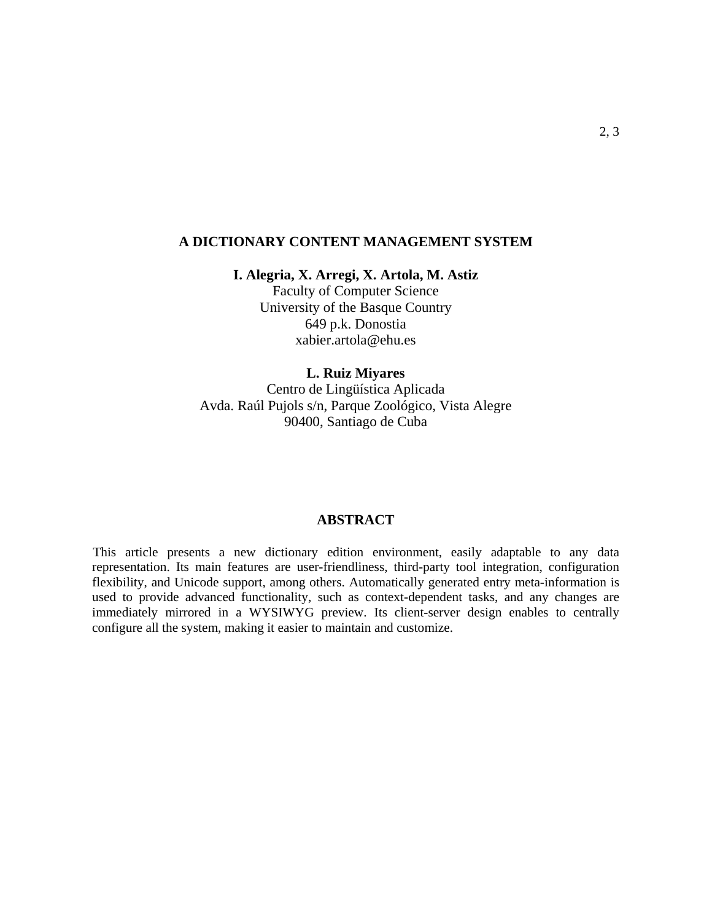## **A DICTIONARY CONTENT MANAGEMENT SYSTEM**

## **I. Alegria, X. Arregi, X. Artola, M. Astiz**

Faculty of Computer Science University of the Basque Country 649 p.k. Donostia xabier.artola@ehu.es

## **L. Ruiz Miyares**

Centro de Lingüística Aplicada Avda. Raúl Pujols s/n, Parque Zoológico, Vista Alegre 90400, Santiago de Cuba

## **ABSTRACT**

This article presents a new dictionary edition environment, easily adaptable to any data representation. Its main features are user-friendliness, third-party tool integration, configuration flexibility, and Unicode support, among others. Automatically generated entry meta-information is used to provide advanced functionality, such as context-dependent tasks, and any changes are immediately mirrored in a WYSIWYG preview. Its client-server design enables to centrally configure all the system, making it easier to maintain and customize.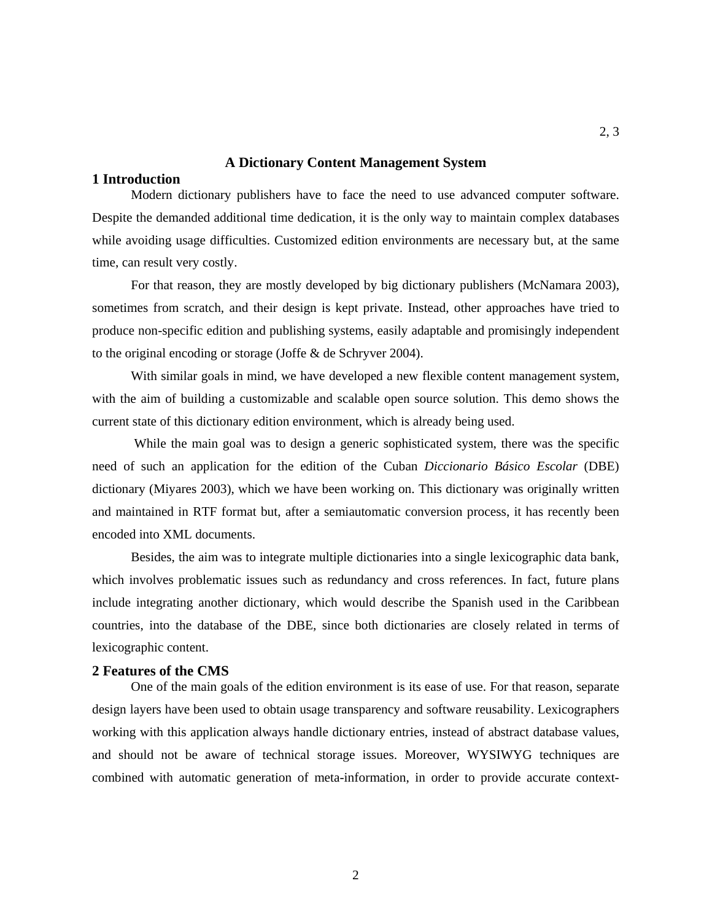## **A Dictionary Content Management System**

# **1 Introduction**

Modern dictionary publishers have to face the need to use advanced computer software. Despite the demanded additional time dedication, it is the only way to maintain complex databases while avoiding usage difficulties. Customized edition environments are necessary but, at the same time, can result very costly.

For that reason, they are mostly developed by big dictionary publishers (McNamara 2003), sometimes from scratch, and their design is kept private. Instead, other approaches have tried to produce non-specific edition and publishing systems, easily adaptable and promisingly independent to the original encoding or storage (Joffe & de Schryver 2004).

With similar goals in mind, we have developed a new flexible content management system, with the aim of building a customizable and scalable open source solution. This demo shows the current state of this dictionary edition environment, which is already being used.

While the main goal was to design a generic sophisticated system, there was the specific need of such an application for the edition of the Cuban *Diccionario Básico Escolar* (DBE) dictionary (Miyares 2003), which we have been working on. This dictionary was originally written and maintained in RTF format but, after a semiautomatic conversion process, it has recently been encoded into XML documents.

Besides, the aim was to integrate multiple dictionaries into a single lexicographic data bank, which involves problematic issues such as redundancy and cross references. In fact, future plans include integrating another dictionary, which would describe the Spanish used in the Caribbean countries, into the database of the DBE, since both dictionaries are closely related in terms of lexicographic content.

## **2 Features of the CMS**

One of the main goals of the edition environment is its ease of use. For that reason, separate design layers have been used to obtain usage transparency and software reusability. Lexicographers working with this application always handle dictionary entries, instead of abstract database values, and should not be aware of technical storage issues. Moreover, WYSIWYG techniques are combined with automatic generation of meta-information, in order to provide accurate context-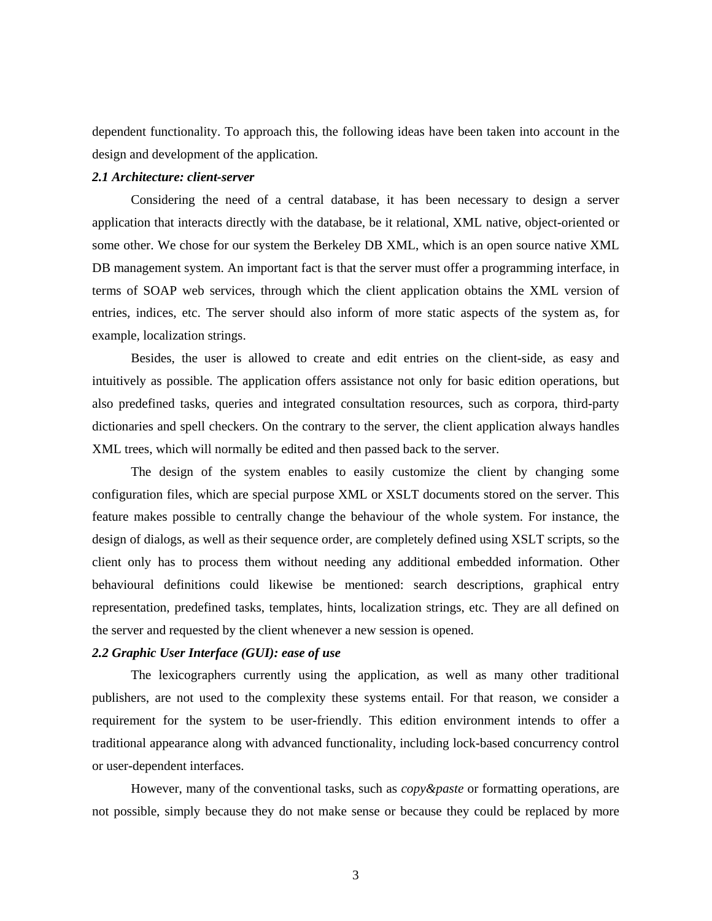dependent functionality. To approach this, the following ideas have been taken into account in the design and development of the application.

### *2.1 Architecture: client-server*

Considering the need of a central database, it has been necessary to design a server application that interacts directly with the database, be it relational, XML native, object-oriented or some other. We chose for our system the Berkeley DB XML, which is an open source native XML DB management system. An important fact is that the server must offer a programming interface, in terms of SOAP web services, through which the client application obtains the XML version of entries, indices, etc. The server should also inform of more static aspects of the system as, for example, localization strings.

Besides, the user is allowed to create and edit entries on the client-side, as easy and intuitively as possible. The application offers assistance not only for basic edition operations, but also predefined tasks, queries and integrated consultation resources, such as corpora, third-party dictionaries and spell checkers. On the contrary to the server, the client application always handles XML trees, which will normally be edited and then passed back to the server.

The design of the system enables to easily customize the client by changing some configuration files, which are special purpose XML or XSLT documents stored on the server. This feature makes possible to centrally change the behaviour of the whole system. For instance, the design of dialogs, as well as their sequence order, are completely defined using XSLT scripts, so the client only has to process them without needing any additional embedded information. Other behavioural definitions could likewise be mentioned: search descriptions, graphical entry representation, predefined tasks, templates, hints, localization strings, etc. They are all defined on the server and requested by the client whenever a new session is opened.

## *2.2 Graphic User Interface (GUI): ease of use*

The lexicographers currently using the application, as well as many other traditional publishers, are not used to the complexity these systems entail. For that reason, we consider a requirement for the system to be user-friendly. This edition environment intends to offer a traditional appearance along with advanced functionality, including lock-based concurrency control or user-dependent interfaces.

However, many of the conventional tasks, such as *copy&paste* or formatting operations, are not possible, simply because they do not make sense or because they could be replaced by more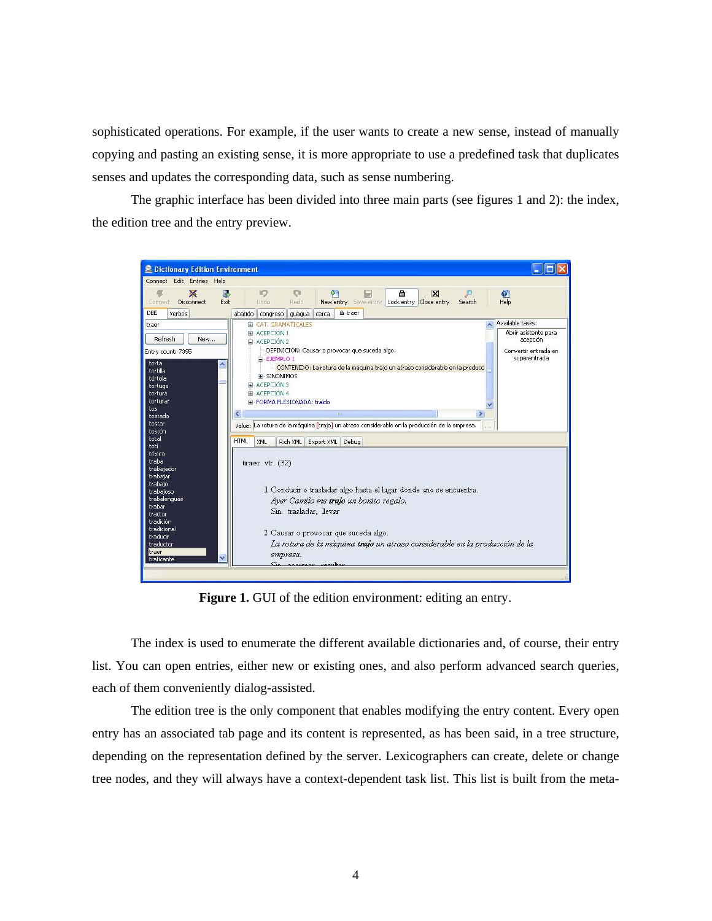sophisticated operations. For example, if the user wants to create a new sense, instead of manually copying and pasting an existing sense, it is more appropriate to use a predefined task that duplicates senses and updates the corresponding data, such as sense numbering.

The graphic interface has been divided into three main parts (see figures 1 and 2): the index, the edition tree and the entry preview.



Figure 1. GUI of the edition environment: editing an entry.

The index is used to enumerate the different available dictionaries and, of course, their entry list. You can open entries, either new or existing ones, and also perform advanced search queries, each of them conveniently dialog-assisted.

The edition tree is the only component that enables modifying the entry content. Every open entry has an associated tab page and its content is represented, as has been said, in a tree structure, depending on the representation defined by the server. Lexicographers can create, delete or change tree nodes, and they will always have a context-dependent task list. This list is built from the meta-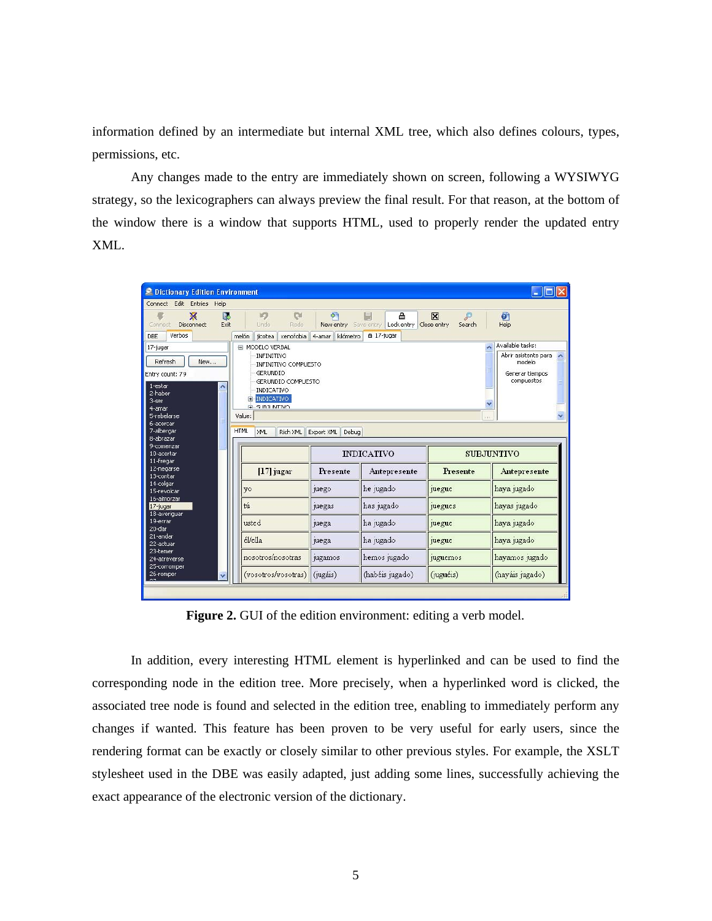information defined by an intermediate but internal XML tree, which also defines colours, types, permissions, etc.

Any changes made to the entry are immediately shown on screen, following a WYSIWYG strategy, so the lexicographers can always preview the final result. For that reason, at the bottom of the window there is a window that supports HTML, used to properly render the updated entry XML.

| <b>E</b> Dictionary Edition Environment                                                                   |                                                                                                                                              |                                                         |                                                |                       |                                                                              |  |
|-----------------------------------------------------------------------------------------------------------|----------------------------------------------------------------------------------------------------------------------------------------------|---------------------------------------------------------|------------------------------------------------|-----------------------|------------------------------------------------------------------------------|--|
| Connect Edit Entries Help                                                                                 |                                                                                                                                              |                                                         |                                                |                       |                                                                              |  |
| ×<br>b.<br>Disconnect<br>Exit<br>Connect<br>Verbos<br><b>DBE</b>                                          | 10<br>$\alpha$<br>Redo<br>Undo<br>jicotea xenofobia<br>melón                                                                                 | $\sigma$<br>New entry Save entry<br>kilómetro<br>4-amar | 合<br>E<br>Lock entry Close entry<br>△ 17-jugar | ₽<br>⊠<br>Search      | $\overline{\mathbf{c}}$<br>Help                                              |  |
| 17-jugar                                                                                                  | <b>EI MODELO VERBAL</b>                                                                                                                      |                                                         |                                                |                       | Available tasks:                                                             |  |
| Refresh<br>New<br>Entry count: 79<br>1-estar<br>$\triangle$<br>2-haber<br>3-ser<br>4-amar-<br>5-rehelarse | INFINITIVO<br>INFINITIVO COMPUESTO<br>GERLINDIO<br>GERUNDIO COMPUESTO<br>INDICATIVO<br><b>E</b> -INDICATIVO<br><b>ELSUBJUNTIVO</b><br>Value: |                                                         |                                                |                       | Abrir asistente para<br>$\lambda$<br>modelo<br>Generar tiempos<br>compuestos |  |
| 6-acercar                                                                                                 |                                                                                                                                              |                                                         |                                                | $\bar{Y}$ ) $\bar{Y}$ |                                                                              |  |
| 7-albergar                                                                                                | <b>HTML</b><br>Rich XML<br>XML                                                                                                               | Export XML<br>Debua                                     |                                                |                       |                                                                              |  |
| 8-abrazar                                                                                                 |                                                                                                                                              |                                                         |                                                |                       |                                                                              |  |
| 9-comenzar<br>10-acertar<br>11-fregar                                                                     |                                                                                                                                              | <b>INDICATIVO</b>                                       |                                                |                       | <b>SUBJUNTIVO</b>                                                            |  |
| 12-negarse<br>13-contar                                                                                   | $[17]$ jugar                                                                                                                                 | Presente                                                | Antepresente                                   | <b>Presente</b>       | Antepresente                                                                 |  |
| 14-colgar<br>15-revolcar                                                                                  | yo                                                                                                                                           | juego                                                   | he jugado                                      | juegue                | haya jugado                                                                  |  |
| 16-almorzar<br>17-jugar<br>18-averiguar                                                                   | tú                                                                                                                                           | juegas                                                  | has jugado                                     | juegues               | hayas jugado                                                                 |  |
| 19-errar<br>20-dar                                                                                        | usted                                                                                                                                        | juega                                                   | ha jugado                                      | <i>pegue</i>          | haya jugado                                                                  |  |
| 21-andar<br>22-achuar                                                                                     | él/ella                                                                                                                                      | juega                                                   | ha jugado                                      | juegue                | haya jugado                                                                  |  |
| 23-temer<br>24-atreverse<br>25-corromper                                                                  | nosotros/nosotras                                                                                                                            | jugamos                                                 | hemos jugado                                   | juguemos              | hayamos jugado                                                               |  |
| 26-romper                                                                                                 | (vosotros/vosotras)                                                                                                                          | (jugáis)                                                | (habéis jugado)                                | (juguéis)             | (hayáis jugado)                                                              |  |

**Figure 2.** GUI of the edition environment: editing a verb model.

In addition, every interesting HTML element is hyperlinked and can be used to find the corresponding node in the edition tree. More precisely, when a hyperlinked word is clicked, the associated tree node is found and selected in the edition tree, enabling to immediately perform any changes if wanted. This feature has been proven to be very useful for early users, since the rendering format can be exactly or closely similar to other previous styles. For example, the XSLT stylesheet used in the DBE was easily adapted, just adding some lines, successfully achieving the exact appearance of the electronic version of the dictionary.